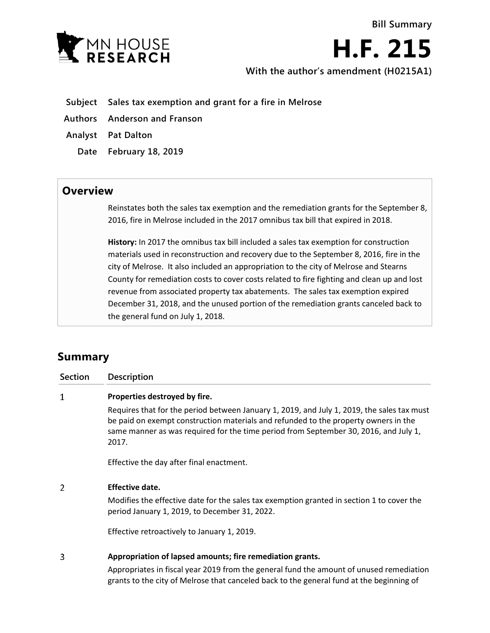

**H.F. 215**

**With the author's amendment (H0215A1)**

- **Subject Sales tax exemption and grant for a fire in Melrose**
- **Authors Anderson and Franson**
- **Analyst Pat Dalton**
	- **Date February 18, 2019**

## **Overview**

Reinstates both the sales tax exemption and the remediation grants for the September 8, 2016, fire in Melrose included in the 2017 omnibus tax bill that expired in 2018.

**History:** In 2017 the omnibus tax bill included a sales tax exemption for construction materials used in reconstruction and recovery due to the September 8, 2016, fire in the city of Melrose. It also included an appropriation to the city of Melrose and Stearns County for remediation costs to cover costs related to fire fighting and clean up and lost revenue from associated property tax abatements. The sales tax exemption expired December 31, 2018, and the unused portion of the remediation grants canceled back to the general fund on July 1, 2018.

## **Summary**

| <b>Section</b> | <b>Description</b>                                                                                                                                                                                                                                                                 |
|----------------|------------------------------------------------------------------------------------------------------------------------------------------------------------------------------------------------------------------------------------------------------------------------------------|
| 1              | Properties destroyed by fire.                                                                                                                                                                                                                                                      |
|                | Requires that for the period between January 1, 2019, and July 1, 2019, the sales tax must<br>be paid on exempt construction materials and refunded to the property owners in the<br>same manner as was required for the time period from September 30, 2016, and July 1,<br>2017. |
|                | Effective the day after final enactment.                                                                                                                                                                                                                                           |
| 2              | <b>Effective date.</b>                                                                                                                                                                                                                                                             |
|                | Modifies the effective date for the sales tax exemption granted in section 1 to cover the<br>period January 1, 2019, to December 31, 2022.                                                                                                                                         |
|                | Effective retroactively to January 1, 2019.                                                                                                                                                                                                                                        |
| 3              | Appropriation of lapsed amounts; fire remediation grants.                                                                                                                                                                                                                          |
|                | Appropriates in fiscal year 2019 from the general fund the amount of unused remediation<br>grants to the city of Melrose that canceled back to the general fund at the beginning of                                                                                                |